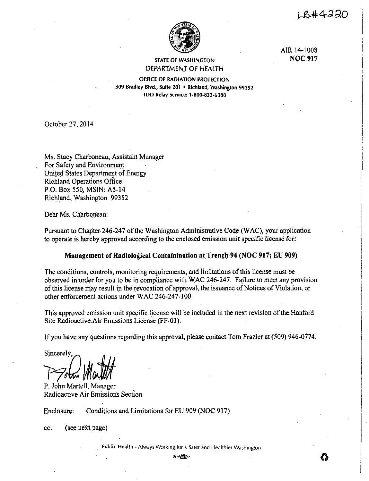i\_R#4220



AIR 14-1008 **NOC917** 

# STATE Of WASHINGTON DEPARTMENT OF HEALTH

OFFICE OF RADIATION PROTECTION 309 Bradley Blvd., Suite 201 • Richland, Washington 99352 TDD Relay Service: 1-800-833-6388

October 27, 2014

Ms. Stacy Charboneau, Assistant Manager For Safety and Environment United States Department of Energy Richland Operations Office P.O. Box 550, MSIN: AS-14 Richland, Washington 99352

Dear Ms. Charboneau:

Pursuant to Chapter 246-247 of the Washington Administrative Code (WAC), your application to operate is hereby approved according to the enclosed emission unit specific license for:

# **Management of Radiological Contamination at Trench 94 (NOC 917; EU 909)**

The conditions, controls, monitoring requirements, and limitations of this license must be observed in order for you to be in compliance with WAC 246-247. Failure to meet any provision of this license may result in the revocation of approval, the issuance of Notices of Violation, or other enforcement actions under WAC 246-247-100.

This approved emission unit specific license will be included in the next revision of the Hanford Site Radioactive Air Emissions License (FF-01).

If you have any questions regarding this approval, please contact Tom Frazier at (509) 946-0774.

Sincerely, PSola Martit

P. John Martell, Manager Radioactive Air Emissions Section

Enclosure: Conditions and Limitations for EU 909 (NOC 917)

cc: (see next page)

Public Health - Always Working for a Safer and Healthier Washington  $0.4699$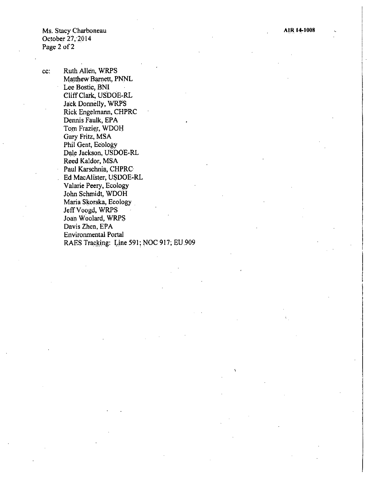Ms. Stacy Charboneau October 27, 2014 Page 2 of 2

cc: Ruth Allen, WRPS Matthew Barnett, PNNL Lee Bostic, BNI Cliff Clark, USDOE-RL Jack Donnelly, WRPS Rick Engelmann, CHPRC Dennis Faulk, EPA Tom Frazier, WDOH Gary Fritz, MSA Phil Gent, Ecology Dale Jackson, USDOE-RL Reed Kaldor, MSA Paul Karschnia, CHPRC Ed MacAlister; USDOE-RL Valarie Peery, Ecology John Schmidt, WDOH Maria Skorska, Ecology JeffVoogd, WRPS Joan Woolard, WRPS Davis Zhen, EPA Environmental Portal RAES Tracking: Line 591; NOC 917; EU,909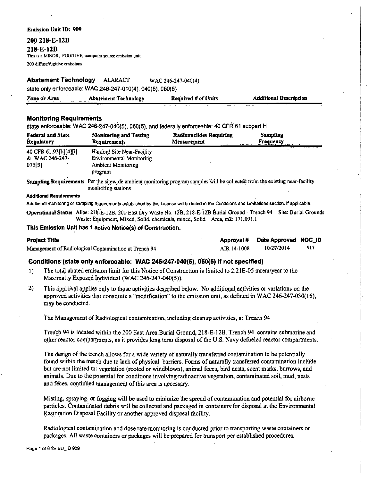#### **Emission Unit ID: 909**

#### 200 218-E-12B

218-E-12B

This is a MINOR, FUGITIVE, non-point source emission unit.

200 diffuse/fugitive emissions

#### **Abatement Technology ALARACT** WAC 246-247-040(4) state only enforceable: WAC 246-247-010(4), 040(5), 060(5)

| Zone or Area | <b>Abatement Technology</b> | Required # of Units | <b>Additional Description</b> |
|--------------|-----------------------------|---------------------|-------------------------------|
|              |                             |                     |                               |

## **Monitoring Requirements**

state enforceable: WAC 246-247-040(5), 060(5), and federally enforceable: 40 CFR 61 subpart H

| <b>Federal and State</b><br><b>Regulatory</b>     | <b>Monitoring and Testing</b><br><b>Requirements</b>                                                                                               | <b>Radionuclides Requiring</b><br>Measurement | Sampling<br><b>Frequency</b> |  |  |  |
|---------------------------------------------------|----------------------------------------------------------------------------------------------------------------------------------------------------|-----------------------------------------------|------------------------------|--|--|--|
| 40 CFR 61.93[b][4][i]<br>& WAC 246-247-<br>075[3] | Hanford Site Near-Facility<br>Environmental Monitoring<br><b>Ambient Monitoring</b><br>program                                                     |                                               |                              |  |  |  |
|                                                   | Sampling Requirements Per the sitewide ambient monitoring program samples will be collected from the existing near-facility<br>monitoring stations |                                               |                              |  |  |  |
| <b>Additional Requirements</b>                    |                                                                                                                                                    |                                               |                              |  |  |  |

Additional monitoring or sampling requirements established by this License will be listed in the Conditions and Limitations section, if applicable.

Operational Status Alias: 218-E-12B, 200 East Dry Waste No. 12B, 218-E-12B Burial Ground - Trench 94 Site: Burial Grounds Waste: Equipment, Mixed, Solid, chemicals, mixed, Solid Area, m2: 171,091.1

### This Emission Unit has 1 active Notice(s) of Construction.

### **Project Title**

Management of Radiological Contamination at Trench 94

Approval # Date Approved NOC ID 10/27/2014 917 AIR 14-1008

## Conditions (state only enforceable: WAC 246-247-040(5), 060(5) if not specified)

- The total abated emission limit for this Notice of Construction is limited to 2.21E-05 mrem/year to the  $1)$ Maximally Exposed Individual (WAC 246-247-040(5)).
- $2)$ This approval applies only to those activities described below. No additional activities or variations on the approved activities that constitute a "modification" to the emission unit, as defined in WAC 246-247-030(16), may be conducted.

The Management of Radiological contamination, including cleanup activities, at Trench 94

Trench 94 is located within the 200 East Area Burial Ground, 218-E-12B. Trench 94 contains submarine and other reactor compartments, as it provides long term disposal of the U.S. Navy defueled reactor compartments.

The design of the trench allows for a wide variety of naturally transferred contamination to be potentially found within the trench due to lack of physical barriers. Forms of naturally transferred contamination include but are not limited to: vegetation (rooted or windblown), animal feces, bird nests, scent marks, burrows, and animals. Due to the potential for conditions involving radioactive vegetation, contaminated soil, mud, nests and feces, continued management of this area is necessary.

Misting, spraying, or fogging will be used to minimize the spread of contamination and potential for airborne particles. Contaminated debris will be collected and packaged in containers for disposal at the Environmental Restoration Disposal Facility or another approved disposal facility.

Radiological contamination and dose rate monitoring is conducted prior to transporting waste containers or packages. All waste containers or packages will be prepared for transport per established procedures.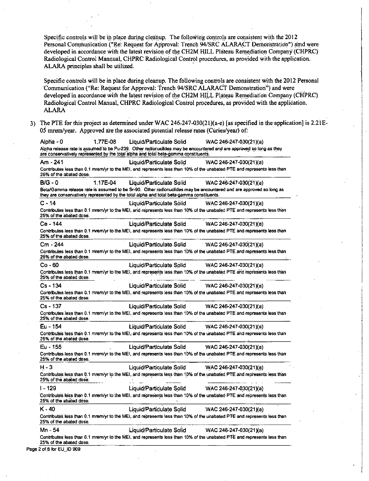Specific controls will be in place during cleanup. The following controls are consistent with the 2012 Personal Communication ("Re: Request for Approval: Trench 94/SRC ALARACT Demonstration") amd were developed in accordance with the latest revision of the CH2M HILL Plateau Remediation Company (CHPRC) Radiological Control Mannual, CHPRC Radiological Control procedures, as provided with the application. ALARA principles shall be utilized.

Specific controls will be in place during cleanup. The following controls are consistent with the 2012 Personal Communication ("Re: Request for Approval: Trench 94/SRC ALARACT Demonstration") and were developed in accordance with the latest revision of the CH2M HILL Plateau Remediation Company (CHPRC) Radiological Control Manual, CHPRC Radiological Control procedures, as provided with the application. **ALARA** 

3) The PTE for this project as determined under WAC 246-247-030(21)(a-e) [as specified in the application] is  $2.21E$ 05 mrem/year. Approved are the associated potential release rates (Curies/year) of:

1.77E-08 Alpha - 0 Liquid/Particulate Solid WAC 246-247-030(21)(a) Alpha release rate is assumed to be Pu-239. Other radionuclides may be encountered and are approved so long as they are conservatively represented by the total alpha and total beta-gamma constituents. Am - 241 Liquid/Particulate Solid WAC 246-247-030(21)(a) Contributes less than 0.1 mrem/yr to the MEI, and represents less than 10% of the unabated PTE and represents less than 25% of the abated dose.  $B/G - 0$ 1 17E-04 Liquid/Particulate Solid WAC 246-247-030(21)(a) Beta/Gamma release rate is assumed to be Sr-90. Other radionuclides may be encountered and are approved so long as they are conservatively represented by the total alpha and total beta-gamma constituents. WAC 246-247-030(21)(a)  $C - 14$ Liquid/Particulate Solid Contributes less than 0.1 mrem/yr to the MEI, and represents less than 10% of the unabated PTE and represents less than 25% of the abated dose. Ce - 144 Liquid/Particulate Solid WAC 246-247-030(21)(a) Contributes less than 0.1 mrem/yr to the MEI, and represents less than 10% of the unabated PTE and represents less than 25% of the abated dose. Cm - 244 Liquid/Particulate Solid WAC 246-247-030(21)(a) Contributes less than 0.1 mirem/yr to the MEI, and represents less than 10% of the unabated PTE and represents less than 25% of the abated dose. Co - 60 Liquid/Particulate:Solid WAC 246-247-030(21)(a) Contributes less than 0.1 mrem/yr to the MEI, and represents less than 10% of the unabated PTE and represents less than 25% of the abated dose. Cs - 134 Liquid/Particulate Solid WAC 246-247-030(21)(a) Contributes less than 0.1 mrem/yr to the MEI, and represents less than 10% of the unabated PTE and represents less than 25% of the abated dose. Liquid/Particulate Solid WAC 246-247-030(21)(a) Cs - 137 Contributes less than 0.1 mrem/yr to the MEI, and represents less than 10% of the unabated PTE and represents less than 25% of the abated dose. Eu - 154 Liquid/Particulate Solid WAC 246-247-030(21)(a) Contributes less than 0.1 mrem/yr to the MEI, and represents less than 10% of the unabated PTE and represents less than 25% of the abated dose. Eu - 155 **Liquid/Particulate Solid** WAC 246-247-030(21)(a) Contributes less than 0.1 mrem/yr to the MEI, and represents less than 10% of the unabated PTE and represents less than 25% of the abated dose.  $H - 3$ Liquid/Particulate Solid WAC 246-247-030(21)(a) Contributes less than 0.1 mrem/yr to the MEI, and represents less than 10% of the unabated PTE and represents less than 25% of the abated dose.  $1 - 129$ Liquid/Particulate Solid WAC 246-247-030(21)(a) Contributes less than 0.1 mrem/yr to the MEI, and represents less than 10% of the unabated PTE and represents less than 25% of the abated dose. Liquid/Particulate Solid K - 40 WAC 246-247-030(21)(a) Contributes less than 0.1 mrem/yr to the MEI, and represents less than 10% of the unabated PTE and represents less than 25% of the abated dose. Liquid/Particulate Solid Mn 54 WAC 246-247-030(21)(a) Contributes less than 0.1 mrem/yr to the MEI, and represents less than 10% of the unabated PTE and represents less than 25% of the abated dose.

Page 2 of 6 for EU\_ID 909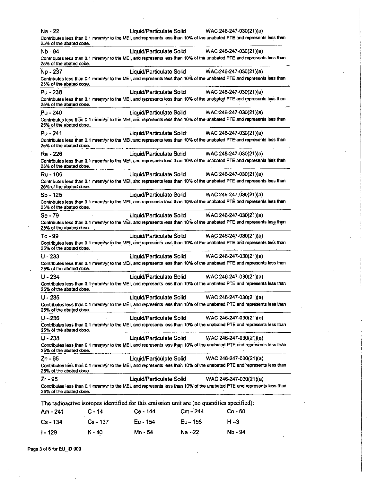| Na - 22                 |            | Liquid/Particulate Solid |            | WAC.246-247-030(21)(a)                                                                                                  |
|-------------------------|------------|--------------------------|------------|-------------------------------------------------------------------------------------------------------------------------|
| 25% of the abated dose. |            |                          |            | Contributes less than 0.1 mrem/yr to the MEI, and represents less than 10% of the unabated PTE and represents less than |
| Nb - 94                 |            | Liquid/Particulate Solid |            | $WAC 246-247-030(21)(a)$                                                                                                |
| 25% of the abated dose. |            |                          |            | Contributes less than 0.1 mrem/yr to the MEI, and represents less than 10% of the unabated PTE and represents less than |
| Np - 237                |            | Liquid/Particulate Solid |            | WAC-246-247-030(21)(a)                                                                                                  |
| 25% of the abated dose. |            |                          |            | Contributes less than 0.1 mrem/yr to the MEI, and represents less than 10% of the unabated PTE and represents less than |
| $Pu - 238$              |            | Liquid/Particulate Solid |            | WAC 246-247-030(21)(a)                                                                                                  |
| 25% of the abated dose. |            |                          |            | Contributes less than 0.1 mrem/yr to the MEI, and represents less than 10% of the unabated PTE and represents less than |
| Pu - 240                |            | Liquid/Particulate Solid |            | WAC 246-247-030(21)(a)                                                                                                  |
| 25% of the abated dose  |            |                          |            | Contributes less than 0.1 mrem/yr to the MEI, and represents less than 10% of the unabated PTE and represents less than |
| $Pu - 241$              |            | Liquid/Particulate Solid |            | WAC 246-247-030(21)(a)                                                                                                  |
| 25% of the abated dose. |            |                          |            | Contributes less than 0.1 mrem/yr to the MEI, and represents less than 10% of the unabated PTE and represents less than |
| Ra - 226                |            | Liquid/Particulate Solid |            | WAC 246-247-030(21)(a)                                                                                                  |
| 25% of the abated dose. |            |                          |            | Contributes less than 0.1 mrem/yr to the MEI, and represents less than 10% of the unabated PTE and represents less than |
| Ru - 106                |            | Liquid/Particulate Solid |            | WAC 246-247-030(21)(a)                                                                                                  |
| 25% of the abated dose. |            |                          |            | Contributes less than 0.1 mrem/yr to the MEI, and represents less than 10% of the unabated PTE and represents less than |
| $Sb - 125$              |            | Liquid/Particulate Solid |            | WAC 246-247-030(21)(a)                                                                                                  |
| 25% of the abated dose. |            |                          |            | Contributes less than 0.1 mrem/yr to the MEI, and represents less than 10% of the unabated PTE and represents less than |
| Se - 79                 |            | Liquid/Particulate Solid |            | WAC 246-247-030(21)(a)                                                                                                  |
| 25% of the abated dose. |            |                          |            | Contributes less than 0.1 mrem/yr to the MEI, and represents less than 10% of the unabated PTE and represents less than |
| Tc - 99                 |            | Liquid/Particulate Solid |            | WAC 246-247-030(21)(a)                                                                                                  |
| 25% of the abated dose. |            |                          |            | Contributes less than 0.1 mrem/yr to the MEI, and represents less than 10% of the unabated PTE and represents less than |
|                         |            |                          |            | WAC 246-247-030(21)(a)                                                                                                  |
| $U - 233$               |            | Liquid/Particulate Solid |            |                                                                                                                         |
| 25% of the abated dose. |            |                          |            | Contributes less than 0.1 mrem/yr to the MEI, and represents less than 10% of the unabated PTE and represents less than |
| $U - 234$               |            | Liquid/Particulate Solid |            | WAC 246-247-030(21)(a)                                                                                                  |
| 25% of the abated dose. |            |                          |            | Contributes less than 0.1 mrem/yr to the MEI, and represents less than 10% of the unabated PTE and represents less than |
| $U - 235$               |            | Liquid/Particulate Solid |            | WAC 246-247-030(21)(a)                                                                                                  |
| 25% of the abated dose. |            |                          |            | Contributes less than 0.1 mrem/yr to the MEI, and represents less than 10% of the unabated PTE and represents less than |
| $U - 236$               |            | Liquid/Particulate Solid |            | WAC 246-247-030(21)(a)                                                                                                  |
| 25% of the abated dose. |            |                          |            | Contributes less than 0.1 mrem/yr to the MEI, and represents less than 10% of the unabated PTE and represents less than |
| U - 238 ·               |            | Liquid/Particulate Solid |            | WAC 246-247-030(21)(a)                                                                                                  |
| 25% of the abated dose. |            |                          |            | Contributes less than 0.1 mrem/yr to the MEI, and represents less than 10% of the unabated PTE and represents less than |
| Zn - 65                 |            | Liquid/Particulate Solid |            | WAC 246-247-030(21)(a)                                                                                                  |
| 25% of the abated dose. |            |                          |            | Contributes less than 0.1 mrem/yr to the MEI, and represents less than 10% of the unabated PTE and represents less than |
| Zr - 95                 |            | Liquid/Particulate Solid |            | WAC 246-247-030(21)(a)                                                                                                  |
| 25% of the abated dose. |            |                          |            | Contributes less than 0.1 mrem/yr to the MEI, and represents less than 10% of the unabated PTE and represents less than |
|                         |            |                          |            | The radioactive isotopes identified for this emission unit are (no quantities specified):                               |
| Am - 241                | $C - 14$   | Ce - 144                 | Cm - 244   | $Co - 60$                                                                                                               |
| $Cs - 134$              | $Cs - 137$ | Eu - 154                 | $Eu - 155$ | $H - 3$                                                                                                                 |

Page 3 of 6 for EU\_ID 909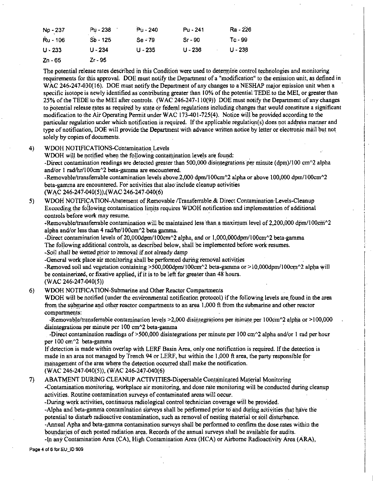| Np - 237  | Pu - 238   | Pu - 240  | Pu - 241     | Ra - 226  |
|-----------|------------|-----------|--------------|-----------|
| Ru - 106  | $Sb - 125$ | $Se - 79$ | $S_{I} - 90$ | Tc - 99   |
| $U - 233$ | $U - 234$  | $U - 235$ | $U - 236$    | $U - 238$ |
| Zn - 65   | Zr - 95    |           |              |           |

The potential release rates described in this Condition were used to determine control technologies and monitoring requirements for this approval. DOE must notify the Department of a "modification" to the emission unit, as defined in WAC 246-247-030(16). DOE must notify the Department of any changes to a NESHAP major emission unit when a specific isotope is newly identified as contributing greater than 10% of the potential TEDE to the MEI, or greater than 25% of the TEDE to the MEI after controls. (WAC 246-247-110(9)) DOE must notify the Department of any changes to potential release rates as required by state or federal regulations including changes that would constitute a significant modification to the Air Operating Permit under WAC 173-401-725(4). Notice will be provided according to the particular regulation under which notification is required. If the applicable regulation(s) does not address manner and type of notification, DOE will provide the Department with advance written notice by letter or electronic mail but not solely by copies of documents.

#### 4) WDOH NOTIFICATIONS-Contamination Levels

WDOH will be notified when the following contamination levels are found:

-Direct contamination readings are detected greater than 500,000 disintegrations per minute (dpm)/100 cm $\gamma$ 2 alpha and/or 1 rad/hr/100cm^2 beta-gamma are encountered.

-Removable/transferrable contamination levels above.2,000 dpm/100cm^2 alpha or above 100,000 dpm/100cm^2 beta-gamma are encountered. For activities that also include cleanup activities (WAC 246-247-040(5)),(WAC 246-247-040(6)

5) WDOH NOTIFICATION-Abatement of Removable /Transferrable.& Direct Contamination· Levels-Cleanup Exceeding the following contamination limits requires WDOH notification and implementation of additional controls before work may resume.

-Removable/transferrable contamination will be maintained less than a maximum level of  $2,200,000$  dpm/100cm $^2$ alpha and/or less than  $4 \text{ rad/hr}/100 \text{cm}^2$  beta gamma.

-Direct contamination levels of 20,000dpm/100cm $\textdegree$ 2 alpha, and or 1,000,000dpm/100cm $\textdegree$ 2 beta-gamma The following additional controls, as described below, shall be implemented before work-resumes.

-Soil shall be wetted prior to removal if not already damp

-General work place air monitoring shall be performed during removal activities

-Removed soil and vegetation containing  $>500,000$ dpm/  $100$ cm $^2$  beta-gamma or $> 10,000$ dpm/100cm $^2$  alpha will be containerized, or fixative applied, if it is to be left for greater than 48 hours.

 $(WAC 246-247-040(5))$ 

6) WDOH NOTIFICATION-Submarine and Other Reactor Compartments

WDOH will be notified (under the environmental notification protocol) if the following levels are.found in the area from the submarine and other reactor compartments to an area  $1,000$  ft from the submarine and other reactor compartments:

-Removable/transferrable contamination levels >2,000 disintegrations per minute per 100cm $\textdegree$ 2 alpha or >100,000 disintegrations per minute per 100 cm<sup>2</sup> beta-gamma

-Direct contamination readings of  $>500,000$  disintegrations per minute per 100 cm^2 alpha and/or 1 rad per hour per 100 cm<sup>2</sup> beta-gamma

If detection is made within overlap with LERF Basin Area, only one notification is required. If the detection is made in an area not managed by Trench 94 or LERF, but within the 1,000 ft area, the party responsible for management of the area where the detection occurred shall make the notification. (WAC 246-247-040(5)), (WAC 246-247-040(6)

7) ABATMENT DURING CLEANUP ACTIVITIES-Dispersable Contaminated Material Monitoring -Contamination.monitoring, workplace air monitoring, and dose rate monitoring will be conducted during clean.up activities. Routine contamination surveys of contaminated areas will occur.

,During work activities, continuous radiological control technician coverage will be. provided.

-Alpha and beta-gamma contamination surveys shall be performed prior to and during activities that have the potential to disturb radioactive contamination, such as removal of nesting material or soil disturbance.

-Annual Apha and beta-gamma contamination surveys shall be performed.to confirm the dose.rates within the boundaries of each posted radiation area. Records of the annual surveys shall be available for audits.

-In any Contamination Area (CA), High Contamination Area (HCA) or Airborne Radioactivity Area (ARA),

Page 4 of 6 for EU ID 909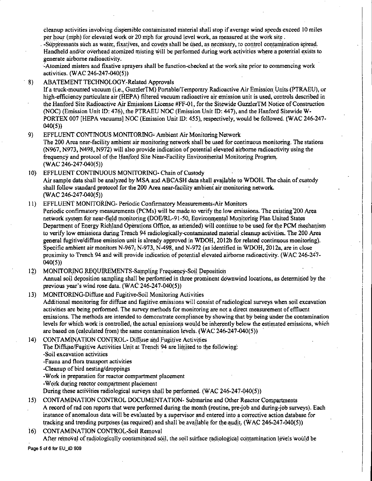cleanup activities involving dispersible contaminated material shall stop if average wind speeds exceed 10 miles per hour (mph) for elevated work or 20 mph for ground level work, as measured at the work site.

 $\blacksquare$ -Suppressants such as water, fixatives, and covers shall be used, as necessary, to control contamination spread. Handheld and/or overhead atomized misting will be performed during work activities where a potential exists to generate airborne radioactivity.

-Atomized misters and fixative sprayers shall be function-checked at the work site prior to commencing work activities. (WAC 246-247-040(5))

8) ABATEMENT TECHNOLOGY-Related Approvals

If a truck-mounted vacuum (i.e., GuzzlerTM) Portable/Temporary Radioactive Air Emission Units (PTRAEU), or high-efficiency particulate air (HEPA) filtered vacuum radioactive air emission unit is used, controls described in the Hanford Site Radioactive Air Emissions License #FF-01, for the Sitewide Guzzler TM Notice of Construction (NOC) (Emission Unit ID: 476), the PTRAEU NOC (Emission Unit ID: 447), and the Hanford Sitewide **W-**PORTEX 007 [HEPA vacuums] NOC (Emission Unit ID: 455), respectively, would be followed. (WAC 246-247- 040(5))

9) EFFLUENT CONTINOUS MONITORING-Ambient Air Monitoring Network

The 200 Area near-facility ambient air monitoring network shall be used for continuous monitoring. The stations (N%7, N973, N498, N972) will also provide indication of potential elevated airborne radioactivity using the frequency and protocol of the Hanford Site Near-Facility Environmental Monitoring Program. (WAC 246-247-040(5))

- 10) EFFLUENT CONTINUOUS MONITORING- Chain of Custody Air sample data shall be analyzed by MSA and ABCASH data shall available to WDOH. The chain of custody shall follow standard protocol for the 200 Area near-facility ambient air monitoring network. (WAC 246-247-040(5))
- 11) EFFLUENT MONITORING- Periodic Confirmatory Measurements-Air Monitors Periodic confirmatory measurements (PCMs) will be made to verify the low emissions. The existing 200 Area network system for near-field monitoring (DOE/RL-91-50, Environmental Monitoring Plan United States Department of Energy Richland Operations Office, as amended) will continue to be used for the PCM mechanism to verify low emissions during Trench 94 radiologically-contaminated material cleanup activities. The 200 Area general fugitive/diffuse emission unit is already approved in WDOH, 2012b for related continuous monitoring). Specific ambient air monitors N-967; N-973, N-498, and N-972 (as identified in WDOH,  $2012a$ , are in close proximity to Trench 94 and wilt provide indication of potential elevated airborne radioactivity. (WAC 246-247- 040(5))
- MONITORING REQUIREMENTS-Sampling Frequency-Soil Deposition  $12)$ Annual soil deposition sampling shall be performed in three prominent downwind locations, as determined by the previous year's wind rose data.  $(WAC:246-247-040(5))$

13) MONITORING-Diffuse and Fugitive-Soil Monitoring Activities Additional monitoring for diffuse and fugitive emissions will consist ofradiological surveys when soil excavation activities are being performed. The survey methods for monitoring are not a direct measurement of effluent **emissions.** The methods are intended to demonstrate compliance by showing that by being under the contamination levels for which work is controlled, the actual emissions would be inherently below the estimated emissions, which are based on (calculated from) the same contamination levels. (WAC 246-247-040(5))

14) CONTAMINATION CONTROL- Diffuse and Fugitive Activities The Diffuse/Fugitive Activities Unit at Trench 94 are limited to the following: -Soil excavation activities -Fauna and flora transport activities -Cleanup of bird nesting/droppings -Work in preparation for reactor compartment placement -Work during reactor compartment placement

During these activities radiological surveys shall be performed. (WAC 246-247-040(5))

15) CONTAMINATION CONTROL DOCUMENTATION- Submarine and Other Reactor Compartments A record of rad con reports that were performed during the month (routine, pre-job and during-job surveys). Each instance of anomalous data will be evaluated by a supervisor and entered into a corrective action database for tracking and trending purposes (as required) and shall be available for the audit. (WAC 246-247-040(5))

16) CONTAMINATION CONTROL-Soil Removal

After removal of radiologically contaminated soil, the soil surface radiological contamination levels would be Page 5 of 6 for EU\_ID 909